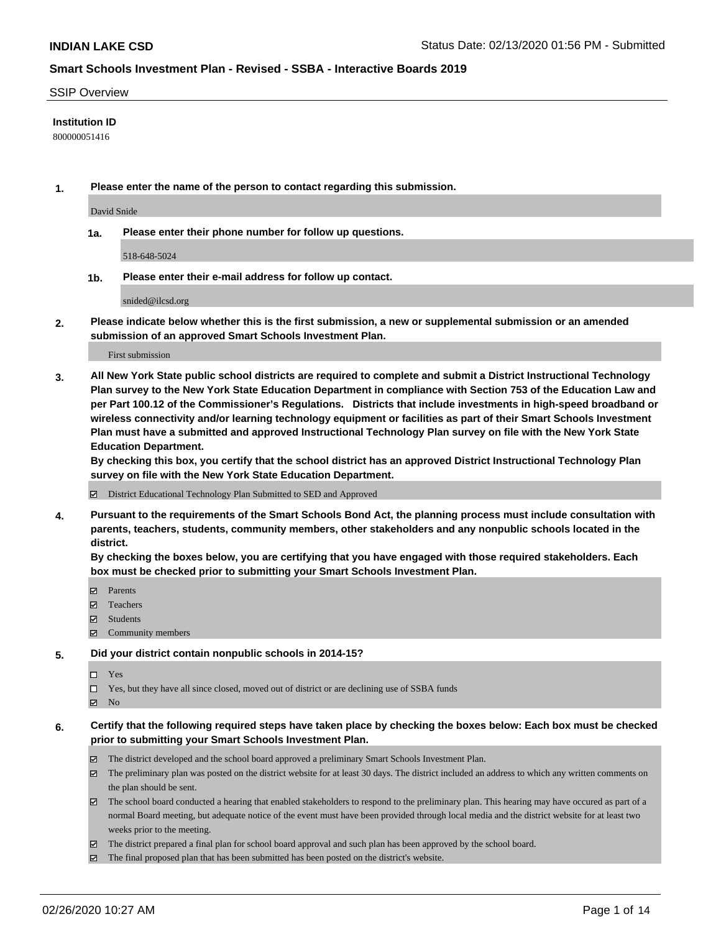### SSIP Overview

# **Institution ID**

800000051416

**1. Please enter the name of the person to contact regarding this submission.**

David Snide

**1a. Please enter their phone number for follow up questions.**

518-648-5024

**1b. Please enter their e-mail address for follow up contact.**

snided@ilcsd.org

**2. Please indicate below whether this is the first submission, a new or supplemental submission or an amended submission of an approved Smart Schools Investment Plan.**

#### First submission

**3. All New York State public school districts are required to complete and submit a District Instructional Technology Plan survey to the New York State Education Department in compliance with Section 753 of the Education Law and per Part 100.12 of the Commissioner's Regulations. Districts that include investments in high-speed broadband or wireless connectivity and/or learning technology equipment or facilities as part of their Smart Schools Investment Plan must have a submitted and approved Instructional Technology Plan survey on file with the New York State Education Department.** 

**By checking this box, you certify that the school district has an approved District Instructional Technology Plan survey on file with the New York State Education Department.**

District Educational Technology Plan Submitted to SED and Approved

**4. Pursuant to the requirements of the Smart Schools Bond Act, the planning process must include consultation with parents, teachers, students, community members, other stakeholders and any nonpublic schools located in the district.** 

**By checking the boxes below, you are certifying that you have engaged with those required stakeholders. Each box must be checked prior to submitting your Smart Schools Investment Plan.**

- **マ** Parents
- Teachers
- Students
- Community members

#### **5. Did your district contain nonpublic schools in 2014-15?**

 $\neg$  Yes

Yes, but they have all since closed, moved out of district or are declining use of SSBA funds

**Z** No

## **6. Certify that the following required steps have taken place by checking the boxes below: Each box must be checked prior to submitting your Smart Schools Investment Plan.**

- The district developed and the school board approved a preliminary Smart Schools Investment Plan.
- $\boxtimes$  The preliminary plan was posted on the district website for at least 30 days. The district included an address to which any written comments on the plan should be sent.
- $\boxtimes$  The school board conducted a hearing that enabled stakeholders to respond to the preliminary plan. This hearing may have occured as part of a normal Board meeting, but adequate notice of the event must have been provided through local media and the district website for at least two weeks prior to the meeting.
- The district prepared a final plan for school board approval and such plan has been approved by the school board.
- $\boxtimes$  The final proposed plan that has been submitted has been posted on the district's website.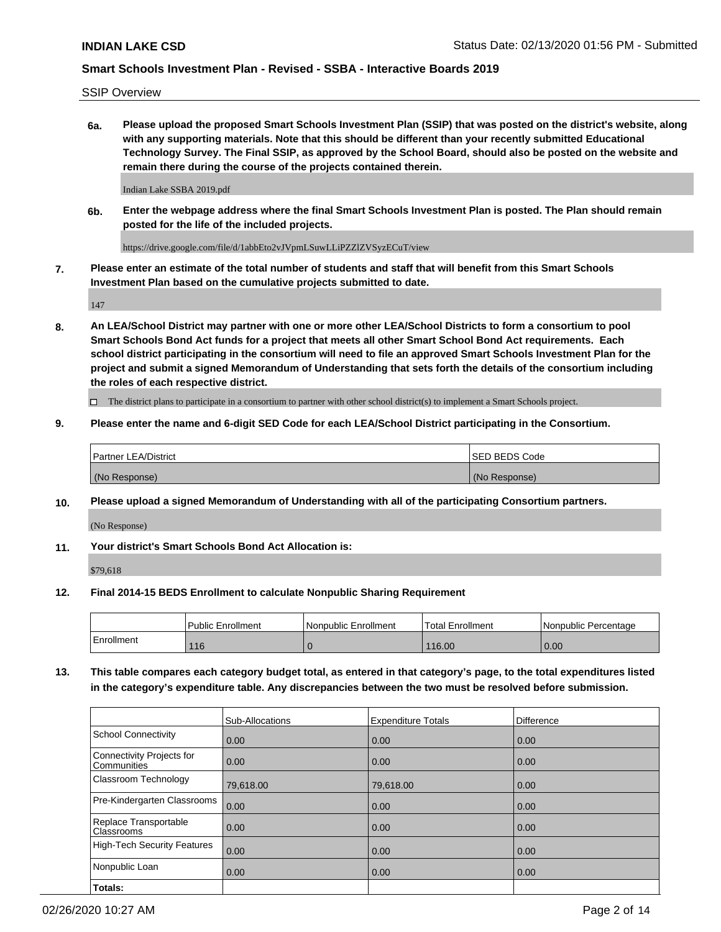SSIP Overview

**6a. Please upload the proposed Smart Schools Investment Plan (SSIP) that was posted on the district's website, along with any supporting materials. Note that this should be different than your recently submitted Educational Technology Survey. The Final SSIP, as approved by the School Board, should also be posted on the website and remain there during the course of the projects contained therein.**

Indian Lake SSBA 2019.pdf

**6b. Enter the webpage address where the final Smart Schools Investment Plan is posted. The Plan should remain posted for the life of the included projects.**

https://drive.google.com/file/d/1abbEto2vJVpmLSuwLLiPZZlZVSyzECuT/view

**7. Please enter an estimate of the total number of students and staff that will benefit from this Smart Schools Investment Plan based on the cumulative projects submitted to date.**

147

**8. An LEA/School District may partner with one or more other LEA/School Districts to form a consortium to pool Smart Schools Bond Act funds for a project that meets all other Smart School Bond Act requirements. Each school district participating in the consortium will need to file an approved Smart Schools Investment Plan for the project and submit a signed Memorandum of Understanding that sets forth the details of the consortium including the roles of each respective district.**

 $\Box$  The district plans to participate in a consortium to partner with other school district(s) to implement a Smart Schools project.

## **9. Please enter the name and 6-digit SED Code for each LEA/School District participating in the Consortium.**

| Partner LEA/District | <b>ISED BEDS Code</b> |
|----------------------|-----------------------|
| (No Response)        | (No Response)         |

#### **10. Please upload a signed Memorandum of Understanding with all of the participating Consortium partners.**

(No Response)

**11. Your district's Smart Schools Bond Act Allocation is:**

\$79,618

#### **12. Final 2014-15 BEDS Enrollment to calculate Nonpublic Sharing Requirement**

|            | <b>Public Enrollment</b> | Nonpublic Enrollment | Total Enrollment | l Nonpublic Percentage |
|------------|--------------------------|----------------------|------------------|------------------------|
| Enrollment | 116                      |                      | 116.00           | 0.00                   |

**13. This table compares each category budget total, as entered in that category's page, to the total expenditures listed in the category's expenditure table. Any discrepancies between the two must be resolved before submission.**

|                                          | Sub-Allocations | <b>Expenditure Totals</b> | <b>Difference</b> |
|------------------------------------------|-----------------|---------------------------|-------------------|
| <b>School Connectivity</b>               | 0.00            | 0.00                      | 0.00              |
| Connectivity Projects for<br>Communities | 0.00            | 0.00                      | 0.00              |
| Classroom Technology                     | 79,618.00       | 79,618.00                 | 0.00              |
| Pre-Kindergarten Classrooms              | 0.00            | 0.00                      | 0.00              |
| Replace Transportable<br>Classrooms      | 0.00            | 0.00                      | 0.00              |
| <b>High-Tech Security Features</b>       | 0.00            | 0.00                      | 0.00              |
| Nonpublic Loan                           | 0.00            | 0.00                      | 0.00              |
| Totals:                                  |                 |                           |                   |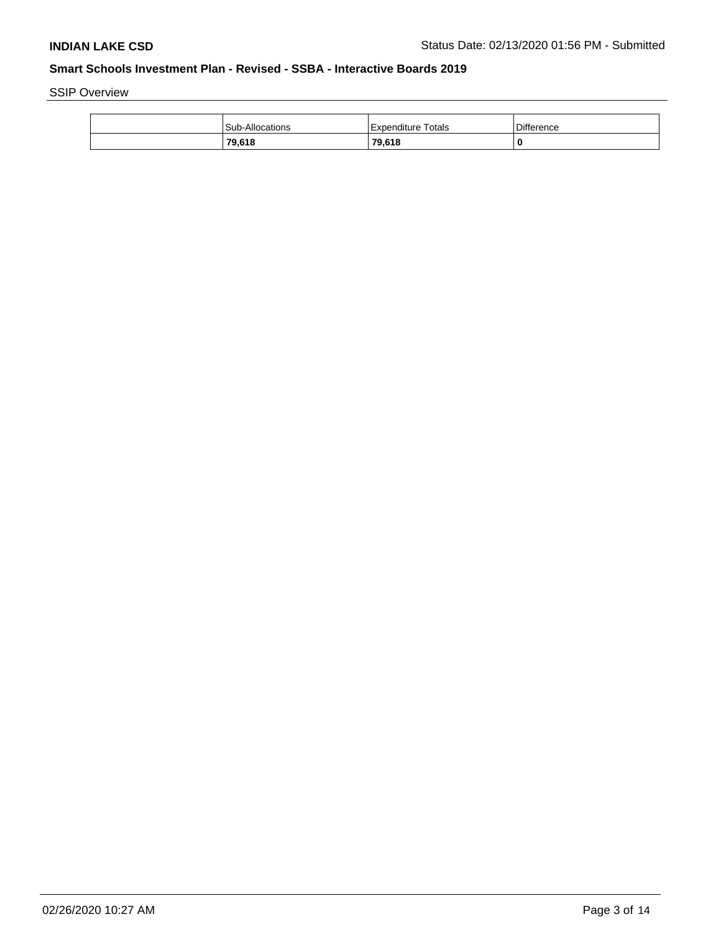SSIP Overview

| <b>Sub-Allocations</b> | Expenditure Totals | <b>Difference</b> |
|------------------------|--------------------|-------------------|
| 79,618                 | 79.618             | 0                 |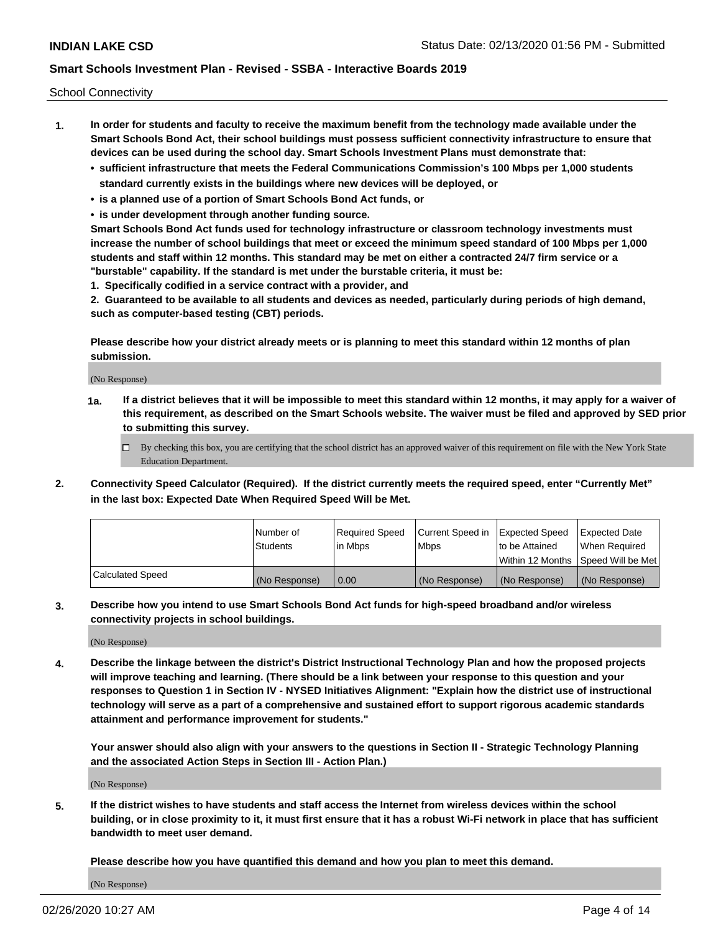School Connectivity

- **1. In order for students and faculty to receive the maximum benefit from the technology made available under the Smart Schools Bond Act, their school buildings must possess sufficient connectivity infrastructure to ensure that devices can be used during the school day. Smart Schools Investment Plans must demonstrate that:**
	- **• sufficient infrastructure that meets the Federal Communications Commission's 100 Mbps per 1,000 students standard currently exists in the buildings where new devices will be deployed, or**
	- **• is a planned use of a portion of Smart Schools Bond Act funds, or**
	- **• is under development through another funding source.**

**Smart Schools Bond Act funds used for technology infrastructure or classroom technology investments must increase the number of school buildings that meet or exceed the minimum speed standard of 100 Mbps per 1,000 students and staff within 12 months. This standard may be met on either a contracted 24/7 firm service or a "burstable" capability. If the standard is met under the burstable criteria, it must be:**

**1. Specifically codified in a service contract with a provider, and**

**2. Guaranteed to be available to all students and devices as needed, particularly during periods of high demand, such as computer-based testing (CBT) periods.**

**Please describe how your district already meets or is planning to meet this standard within 12 months of plan submission.**

(No Response)

**1a. If a district believes that it will be impossible to meet this standard within 12 months, it may apply for a waiver of this requirement, as described on the Smart Schools website. The waiver must be filed and approved by SED prior to submitting this survey.**

 $\Box$  By checking this box, you are certifying that the school district has an approved waiver of this requirement on file with the New York State Education Department.

**2. Connectivity Speed Calculator (Required). If the district currently meets the required speed, enter "Currently Met" in the last box: Expected Date When Required Speed Will be Met.**

|                  | l Number of     | Required Speed | Current Speed in | Expected Speed  | Expected Date                           |
|------------------|-----------------|----------------|------------------|-----------------|-----------------------------------------|
|                  | <b>Students</b> | In Mbps        | l Mbps           | to be Attained  | When Required                           |
|                  |                 |                |                  |                 | l Within 12 Months ISpeed Will be Met l |
| Calculated Speed | (No Response)   | 0.00           | (No Response)    | l (No Response) | l (No Response)                         |

**3. Describe how you intend to use Smart Schools Bond Act funds for high-speed broadband and/or wireless connectivity projects in school buildings.**

(No Response)

**4. Describe the linkage between the district's District Instructional Technology Plan and how the proposed projects will improve teaching and learning. (There should be a link between your response to this question and your responses to Question 1 in Section IV - NYSED Initiatives Alignment: "Explain how the district use of instructional technology will serve as a part of a comprehensive and sustained effort to support rigorous academic standards attainment and performance improvement for students."** 

**Your answer should also align with your answers to the questions in Section II - Strategic Technology Planning and the associated Action Steps in Section III - Action Plan.)**

(No Response)

**5. If the district wishes to have students and staff access the Internet from wireless devices within the school building, or in close proximity to it, it must first ensure that it has a robust Wi-Fi network in place that has sufficient bandwidth to meet user demand.**

**Please describe how you have quantified this demand and how you plan to meet this demand.**

(No Response)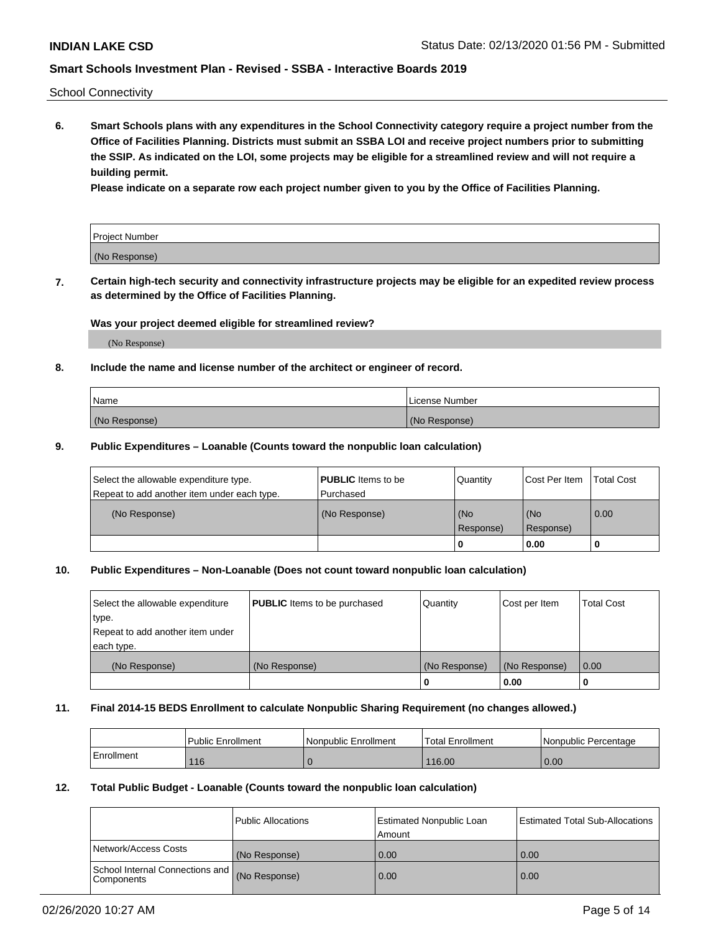School Connectivity

**6. Smart Schools plans with any expenditures in the School Connectivity category require a project number from the Office of Facilities Planning. Districts must submit an SSBA LOI and receive project numbers prior to submitting the SSIP. As indicated on the LOI, some projects may be eligible for a streamlined review and will not require a building permit.**

**Please indicate on a separate row each project number given to you by the Office of Facilities Planning.**

| Project Number |  |
|----------------|--|
| (No Response)  |  |

**7. Certain high-tech security and connectivity infrastructure projects may be eligible for an expedited review process as determined by the Office of Facilities Planning.**

### **Was your project deemed eligible for streamlined review?**

(No Response)

## **8. Include the name and license number of the architect or engineer of record.**

| Name          | License Number |
|---------------|----------------|
| (No Response) | (No Response)  |

### **9. Public Expenditures – Loanable (Counts toward the nonpublic loan calculation)**

| Select the allowable expenditure type.<br>Repeat to add another item under each type. | <b>PUBLIC</b> Items to be<br>l Purchased | Quantity           | Cost Per Item    | <b>Total Cost</b> |
|---------------------------------------------------------------------------------------|------------------------------------------|--------------------|------------------|-------------------|
| (No Response)                                                                         | (No Response)                            | l (No<br>Response) | (No<br>Response) | $\overline{0.00}$ |
|                                                                                       |                                          | O                  | 0.00             |                   |

## **10. Public Expenditures – Non-Loanable (Does not count toward nonpublic loan calculation)**

| Select the allowable expenditure<br>type.<br>Repeat to add another item under<br>each type. | <b>PUBLIC</b> Items to be purchased | Quantity      | Cost per Item | <b>Total Cost</b> |
|---------------------------------------------------------------------------------------------|-------------------------------------|---------------|---------------|-------------------|
| (No Response)                                                                               | (No Response)                       | (No Response) | (No Response) | 0.00              |
|                                                                                             |                                     |               | 0.00          |                   |

#### **11. Final 2014-15 BEDS Enrollment to calculate Nonpublic Sharing Requirement (no changes allowed.)**

|            | Public Enrollment | Nonpublic Enrollment | 'Total Enrollment | l Nonpublic Percentage |
|------------|-------------------|----------------------|-------------------|------------------------|
| Enrollment | 116               |                      | 116.00            | 0.00                   |

## **12. Total Public Budget - Loanable (Counts toward the nonpublic loan calculation)**

|                                               | Public Allocations | <b>Estimated Nonpublic Loan</b><br>Amount | Estimated Total Sub-Allocations |
|-----------------------------------------------|--------------------|-------------------------------------------|---------------------------------|
| Network/Access Costs                          | (No Response)      | 0.00                                      | 0.00                            |
| School Internal Connections and<br>Components | (No Response)      | 0.00                                      | 0.00                            |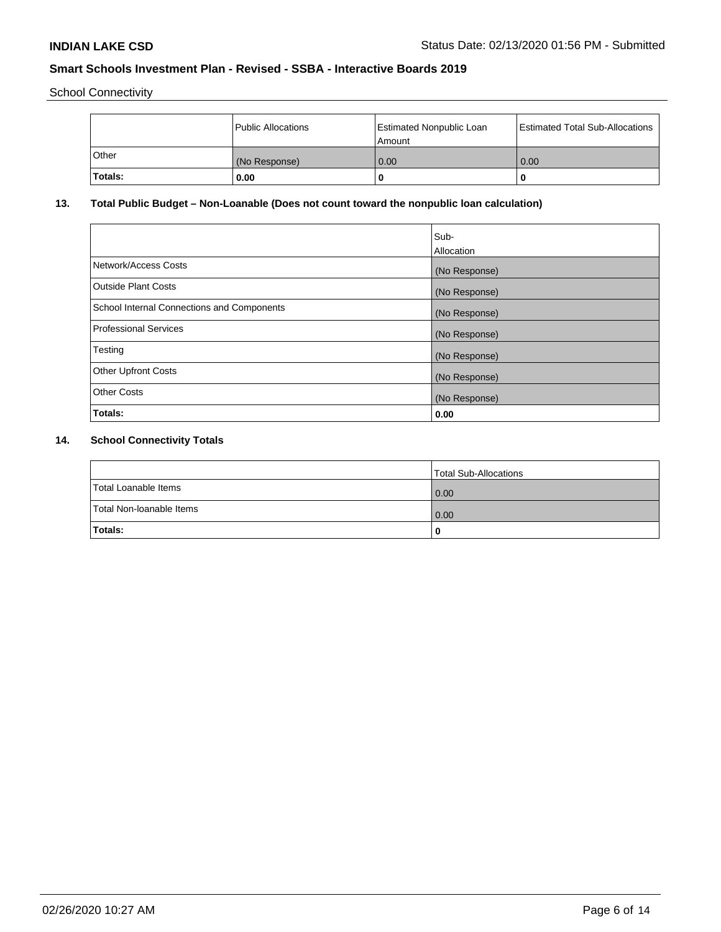School Connectivity

|          | Public Allocations | Estimated Nonpublic Loan<br>l Amount i | Estimated Total Sub-Allocations |
|----------|--------------------|----------------------------------------|---------------------------------|
| l Other  | (No Response)      | 0.00                                   | 0.00                            |
| 'Totals: | 0.00               | 0                                      | 0                               |

# **13. Total Public Budget – Non-Loanable (Does not count toward the nonpublic loan calculation)**

| Sub-<br>Allocation |
|--------------------|
| (No Response)      |
| (No Response)      |
| (No Response)      |
| (No Response)      |
| (No Response)      |
| (No Response)      |
| (No Response)      |
| 0.00               |
|                    |

# **14. School Connectivity Totals**

|                          | Total Sub-Allocations |
|--------------------------|-----------------------|
| Total Loanable Items     | 0.00                  |
| Total Non-Ioanable Items | 0.00                  |
| Totals:                  | 0                     |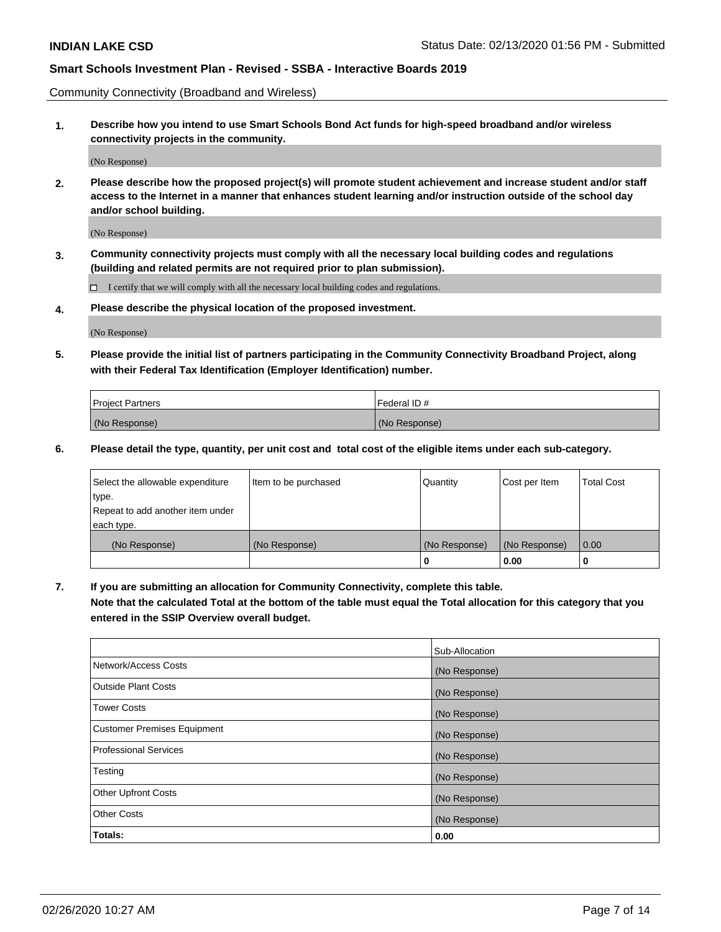Community Connectivity (Broadband and Wireless)

**1. Describe how you intend to use Smart Schools Bond Act funds for high-speed broadband and/or wireless connectivity projects in the community.**

(No Response)

**2. Please describe how the proposed project(s) will promote student achievement and increase student and/or staff access to the Internet in a manner that enhances student learning and/or instruction outside of the school day and/or school building.**

(No Response)

**3. Community connectivity projects must comply with all the necessary local building codes and regulations (building and related permits are not required prior to plan submission).**

 $\Box$  I certify that we will comply with all the necessary local building codes and regulations.

**4. Please describe the physical location of the proposed investment.**

(No Response)

**5. Please provide the initial list of partners participating in the Community Connectivity Broadband Project, along with their Federal Tax Identification (Employer Identification) number.**

| <b>Project Partners</b> | l Federal ID # |
|-------------------------|----------------|
| (No Response)           | (No Response)  |

**6. Please detail the type, quantity, per unit cost and total cost of the eligible items under each sub-category.**

| Select the allowable expenditure | Item to be purchased | Quantity      | Cost per Item | <b>Total Cost</b> |
|----------------------------------|----------------------|---------------|---------------|-------------------|
| type.                            |                      |               |               |                   |
| Repeat to add another item under |                      |               |               |                   |
| each type.                       |                      |               |               |                   |
| (No Response)                    | (No Response)        | (No Response) | (No Response) | 0.00              |
|                                  |                      | U             | 0.00          |                   |

**7. If you are submitting an allocation for Community Connectivity, complete this table.**

**Note that the calculated Total at the bottom of the table must equal the Total allocation for this category that you entered in the SSIP Overview overall budget.**

|                                    | Sub-Allocation |
|------------------------------------|----------------|
| Network/Access Costs               | (No Response)  |
| Outside Plant Costs                | (No Response)  |
| <b>Tower Costs</b>                 | (No Response)  |
| <b>Customer Premises Equipment</b> | (No Response)  |
| <b>Professional Services</b>       | (No Response)  |
| Testing                            | (No Response)  |
| <b>Other Upfront Costs</b>         | (No Response)  |
| <b>Other Costs</b>                 | (No Response)  |
| Totals:                            | 0.00           |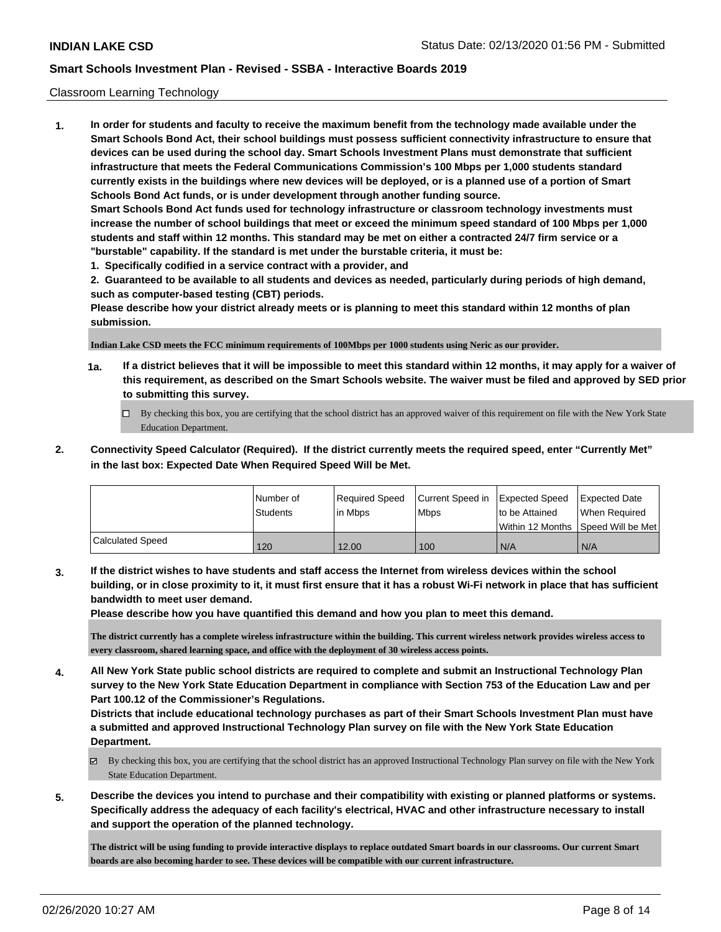### Classroom Learning Technology

**1. In order for students and faculty to receive the maximum benefit from the technology made available under the Smart Schools Bond Act, their school buildings must possess sufficient connectivity infrastructure to ensure that devices can be used during the school day. Smart Schools Investment Plans must demonstrate that sufficient infrastructure that meets the Federal Communications Commission's 100 Mbps per 1,000 students standard currently exists in the buildings where new devices will be deployed, or is a planned use of a portion of Smart Schools Bond Act funds, or is under development through another funding source. Smart Schools Bond Act funds used for technology infrastructure or classroom technology investments must increase the number of school buildings that meet or exceed the minimum speed standard of 100 Mbps per 1,000 students and staff within 12 months. This standard may be met on either a contracted 24/7 firm service or a "burstable" capability. If the standard is met under the burstable criteria, it must be: 1. Specifically codified in a service contract with a provider, and**

**2. Guaranteed to be available to all students and devices as needed, particularly during periods of high demand, such as computer-based testing (CBT) periods.**

**Please describe how your district already meets or is planning to meet this standard within 12 months of plan submission.**

**Indian Lake CSD meets the FCC minimum requirements of 100Mbps per 1000 students using Neric as our provider.** 

- **1a. If a district believes that it will be impossible to meet this standard within 12 months, it may apply for a waiver of this requirement, as described on the Smart Schools website. The waiver must be filed and approved by SED prior to submitting this survey.**
	- By checking this box, you are certifying that the school district has an approved waiver of this requirement on file with the New York State Education Department.
- **2. Connectivity Speed Calculator (Required). If the district currently meets the required speed, enter "Currently Met" in the last box: Expected Date When Required Speed Will be Met.**

|                  | INumber of      | Required Speed | Current Speed in Expected Speed |                | <b>Expected Date</b>                 |
|------------------|-----------------|----------------|---------------------------------|----------------|--------------------------------------|
|                  | <b>Students</b> | In Mbps        | <b>Mbps</b>                     | to be Attained | When Required                        |
|                  |                 |                |                                 |                | Within 12 Months 1Speed Will be Met1 |
| Calculated Speed | 120             | 12.00          | 100                             | N/A            | N/A                                  |

**3. If the district wishes to have students and staff access the Internet from wireless devices within the school building, or in close proximity to it, it must first ensure that it has a robust Wi-Fi network in place that has sufficient bandwidth to meet user demand.**

**Please describe how you have quantified this demand and how you plan to meet this demand.**

**The district currently has a complete wireless infrastructure within the building. This current wireless network provides wireless access to every classroom, shared learning space, and office with the deployment of 30 wireless access points.**

**4. All New York State public school districts are required to complete and submit an Instructional Technology Plan survey to the New York State Education Department in compliance with Section 753 of the Education Law and per Part 100.12 of the Commissioner's Regulations.**

**Districts that include educational technology purchases as part of their Smart Schools Investment Plan must have a submitted and approved Instructional Technology Plan survey on file with the New York State Education Department.**

- $\boxtimes$  By checking this box, you are certifying that the school district has an approved Instructional Technology Plan survey on file with the New York State Education Department.
- **5. Describe the devices you intend to purchase and their compatibility with existing or planned platforms or systems. Specifically address the adequacy of each facility's electrical, HVAC and other infrastructure necessary to install and support the operation of the planned technology.**

**The district will be using funding to provide interactive displays to replace outdated Smart boards in our classrooms. Our current Smart boards are also becoming harder to see. These devices will be compatible with our current infrastructure.**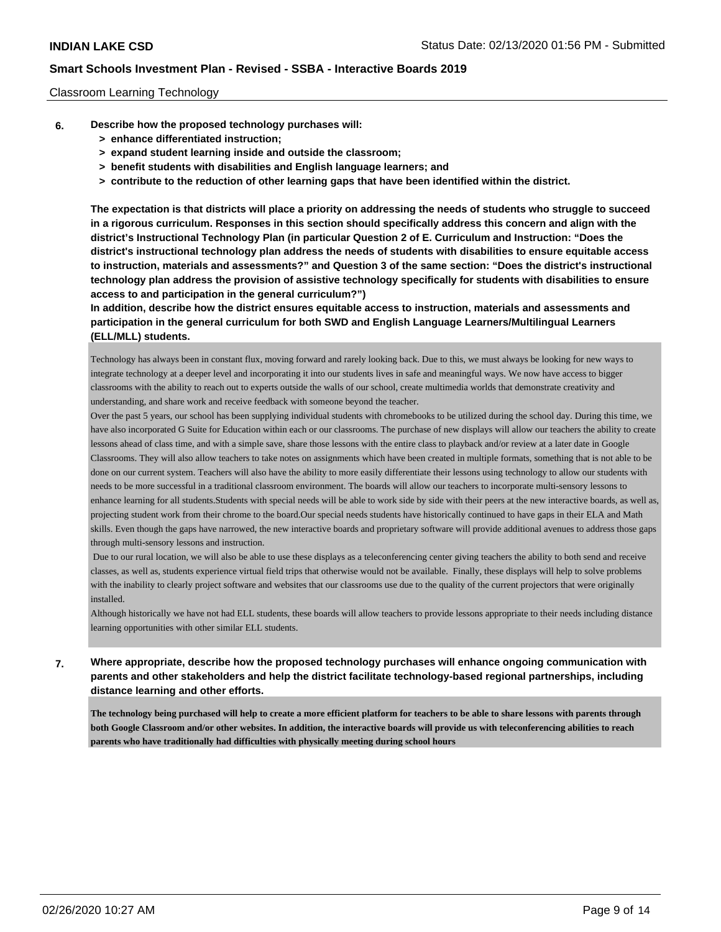### Classroom Learning Technology

- **6. Describe how the proposed technology purchases will:**
	- **> enhance differentiated instruction;**
	- **> expand student learning inside and outside the classroom;**
	- **> benefit students with disabilities and English language learners; and**
	- **> contribute to the reduction of other learning gaps that have been identified within the district.**

**The expectation is that districts will place a priority on addressing the needs of students who struggle to succeed in a rigorous curriculum. Responses in this section should specifically address this concern and align with the district's Instructional Technology Plan (in particular Question 2 of E. Curriculum and Instruction: "Does the district's instructional technology plan address the needs of students with disabilities to ensure equitable access to instruction, materials and assessments?" and Question 3 of the same section: "Does the district's instructional technology plan address the provision of assistive technology specifically for students with disabilities to ensure access to and participation in the general curriculum?")**

**In addition, describe how the district ensures equitable access to instruction, materials and assessments and participation in the general curriculum for both SWD and English Language Learners/Multilingual Learners (ELL/MLL) students.**

Technology has always been in constant flux, moving forward and rarely looking back. Due to this, we must always be looking for new ways to integrate technology at a deeper level and incorporating it into our students lives in safe and meaningful ways. We now have access to bigger classrooms with the ability to reach out to experts outside the walls of our school, create multimedia worlds that demonstrate creativity and understanding, and share work and receive feedback with someone beyond the teacher.

Over the past 5 years, our school has been supplying individual students with chromebooks to be utilized during the school day. During this time, we have also incorporated G Suite for Education within each or our classrooms. The purchase of new displays will allow our teachers the ability to create lessons ahead of class time, and with a simple save, share those lessons with the entire class to playback and/or review at a later date in Google Classrooms. They will also allow teachers to take notes on assignments which have been created in multiple formats, something that is not able to be done on our current system. Teachers will also have the ability to more easily differentiate their lessons using technology to allow our students with needs to be more successful in a traditional classroom environment. The boards will allow our teachers to incorporate multi-sensory lessons to enhance learning for all students.Students with special needs will be able to work side by side with their peers at the new interactive boards, as well as, projecting student work from their chrome to the board.Our special needs students have historically continued to have gaps in their ELA and Math skills. Even though the gaps have narrowed, the new interactive boards and proprietary software will provide additional avenues to address those gaps through multi-sensory lessons and instruction.

 Due to our rural location, we will also be able to use these displays as a teleconferencing center giving teachers the ability to both send and receive classes, as well as, students experience virtual field trips that otherwise would not be available. Finally, these displays will help to solve problems with the inability to clearly project software and websites that our classrooms use due to the quality of the current projectors that were originally installed.

Although historically we have not had ELL students, these boards will allow teachers to provide lessons appropriate to their needs including distance learning opportunities with other similar ELL students.

# **7. Where appropriate, describe how the proposed technology purchases will enhance ongoing communication with parents and other stakeholders and help the district facilitate technology-based regional partnerships, including distance learning and other efforts.**

**The technology being purchased will help to create a more efficient platform for teachers to be able to share lessons with parents through both Google Classroom and/or other websites. In addition, the interactive boards will provide us with teleconferencing abilities to reach parents who have traditionally had difficulties with physically meeting during school hours**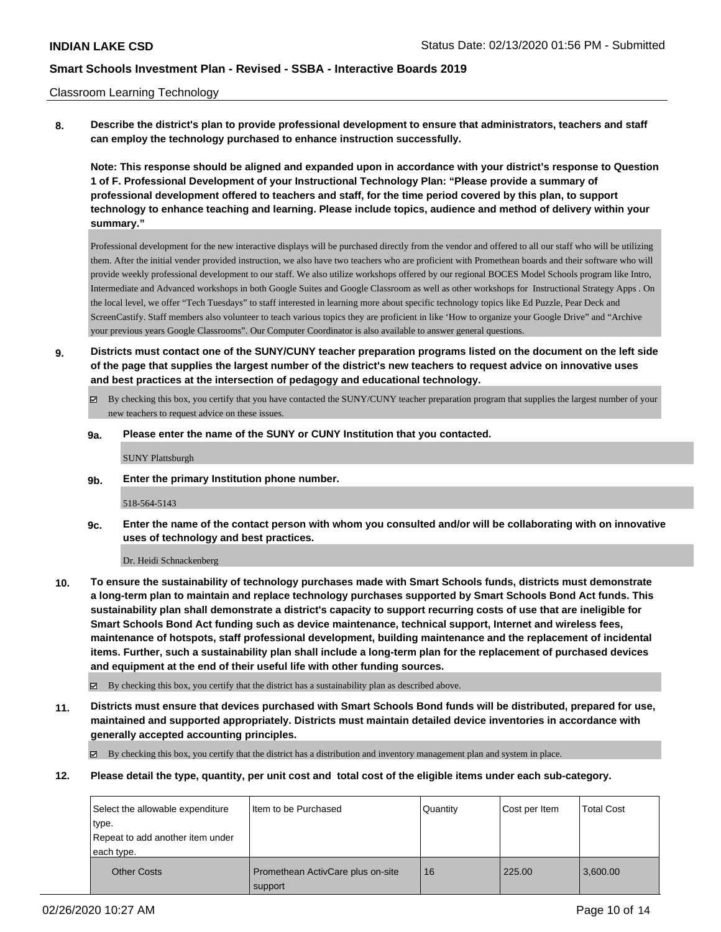### Classroom Learning Technology

**8. Describe the district's plan to provide professional development to ensure that administrators, teachers and staff can employ the technology purchased to enhance instruction successfully.**

**Note: This response should be aligned and expanded upon in accordance with your district's response to Question 1 of F. Professional Development of your Instructional Technology Plan: "Please provide a summary of professional development offered to teachers and staff, for the time period covered by this plan, to support technology to enhance teaching and learning. Please include topics, audience and method of delivery within your summary."**

Professional development for the new interactive displays will be purchased directly from the vendor and offered to all our staff who will be utilizing them. After the initial vender provided instruction, we also have two teachers who are proficient with Promethean boards and their software who will provide weekly professional development to our staff. We also utilize workshops offered by our regional BOCES Model Schools program like Intro, Intermediate and Advanced workshops in both Google Suites and Google Classroom as well as other workshops for Instructional Strategy Apps . On the local level, we offer "Tech Tuesdays" to staff interested in learning more about specific technology topics like Ed Puzzle, Pear Deck and ScreenCastify. Staff members also volunteer to teach various topics they are proficient in like 'How to organize your Google Drive" and "Archive your previous years Google Classrooms". Our Computer Coordinator is also available to answer general questions.

- **9. Districts must contact one of the SUNY/CUNY teacher preparation programs listed on the document on the left side of the page that supplies the largest number of the district's new teachers to request advice on innovative uses and best practices at the intersection of pedagogy and educational technology.**
	- By checking this box, you certify that you have contacted the SUNY/CUNY teacher preparation program that supplies the largest number of your new teachers to request advice on these issues.

### **9a. Please enter the name of the SUNY or CUNY Institution that you contacted.**

SUNY Plattsburgh

**9b. Enter the primary Institution phone number.**

#### 518-564-5143

**9c. Enter the name of the contact person with whom you consulted and/or will be collaborating with on innovative uses of technology and best practices.**

Dr. Heidi Schnackenberg

**10. To ensure the sustainability of technology purchases made with Smart Schools funds, districts must demonstrate a long-term plan to maintain and replace technology purchases supported by Smart Schools Bond Act funds. This sustainability plan shall demonstrate a district's capacity to support recurring costs of use that are ineligible for Smart Schools Bond Act funding such as device maintenance, technical support, Internet and wireless fees, maintenance of hotspots, staff professional development, building maintenance and the replacement of incidental items. Further, such a sustainability plan shall include a long-term plan for the replacement of purchased devices and equipment at the end of their useful life with other funding sources.**

By checking this box, you certify that the district has a sustainability plan as described above.

**11. Districts must ensure that devices purchased with Smart Schools Bond funds will be distributed, prepared for use, maintained and supported appropriately. Districts must maintain detailed device inventories in accordance with generally accepted accounting principles.**

By checking this box, you certify that the district has a distribution and inventory management plan and system in place.

**12. Please detail the type, quantity, per unit cost and total cost of the eligible items under each sub-category.**

| Select the allowable expenditure<br>type.<br>Repeat to add another item under<br>each type. | I Item to be Purchased                       | Quantity | Cost per Item | <b>Total Cost</b> |
|---------------------------------------------------------------------------------------------|----------------------------------------------|----------|---------------|-------------------|
| <b>Other Costs</b>                                                                          | Promethean ActivCare plus on-site<br>support | 16       | 225.00        | 3,600.00          |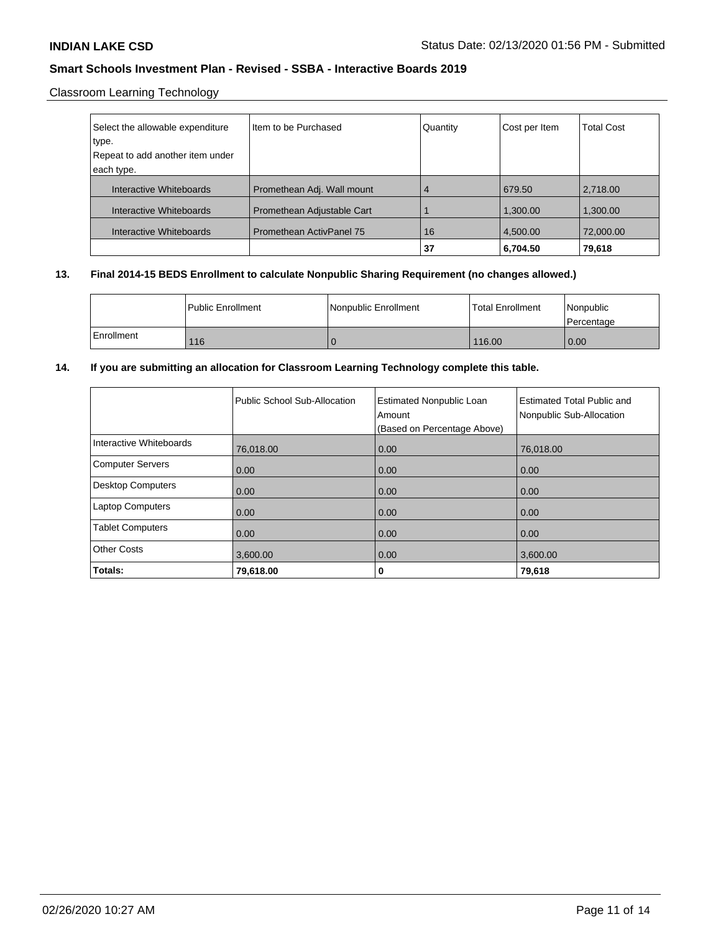# Classroom Learning Technology

| Select the allowable expenditure | Item to be Purchased            | Quantity | Cost per Item | <b>Total Cost</b> |
|----------------------------------|---------------------------------|----------|---------------|-------------------|
| type.                            |                                 |          |               |                   |
| Repeat to add another item under |                                 |          |               |                   |
| each type.                       |                                 |          |               |                   |
| Interactive Whiteboards          | Promethean Adj. Wall mount      | 4        | 679.50        | 2,718.00          |
| Interactive Whiteboards          | Promethean Adjustable Cart      |          | 1,300.00      | 1,300.00          |
| Interactive Whiteboards          | <b>Promethean ActivPanel 75</b> | 16       | 4,500.00      | 72,000.00         |
|                                  |                                 | 37       | 6,704.50      | 79,618            |

# **13. Final 2014-15 BEDS Enrollment to calculate Nonpublic Sharing Requirement (no changes allowed.)**

|            | l Public Enrollment | Nonpublic Enrollment | l Total Enrollment | Nonpublic<br><b>Percentage</b> |
|------------|---------------------|----------------------|--------------------|--------------------------------|
| Enrollment | 116                 |                      | 116.00             | 0.00                           |

## **14. If you are submitting an allocation for Classroom Learning Technology complete this table.**

|                          | Public School Sub-Allocation | <b>Estimated Nonpublic Loan</b><br>Amount<br>(Based on Percentage Above) | Estimated Total Public and<br>Nonpublic Sub-Allocation |
|--------------------------|------------------------------|--------------------------------------------------------------------------|--------------------------------------------------------|
| Interactive Whiteboards  | 76,018.00                    | 0.00                                                                     | 76.018.00                                              |
| Computer Servers         | 0.00                         | 0.00                                                                     | 0.00                                                   |
| <b>Desktop Computers</b> | 0.00                         | 0.00                                                                     | 0.00                                                   |
| <b>Laptop Computers</b>  | 0.00                         | 0.00                                                                     | 0.00                                                   |
| <b>Tablet Computers</b>  | 0.00                         | 0.00                                                                     | 0.00                                                   |
| <b>Other Costs</b>       | 3.600.00                     | 0.00                                                                     | 3.600.00                                               |
| Totals:                  | 79,618.00                    | 0                                                                        | 79,618                                                 |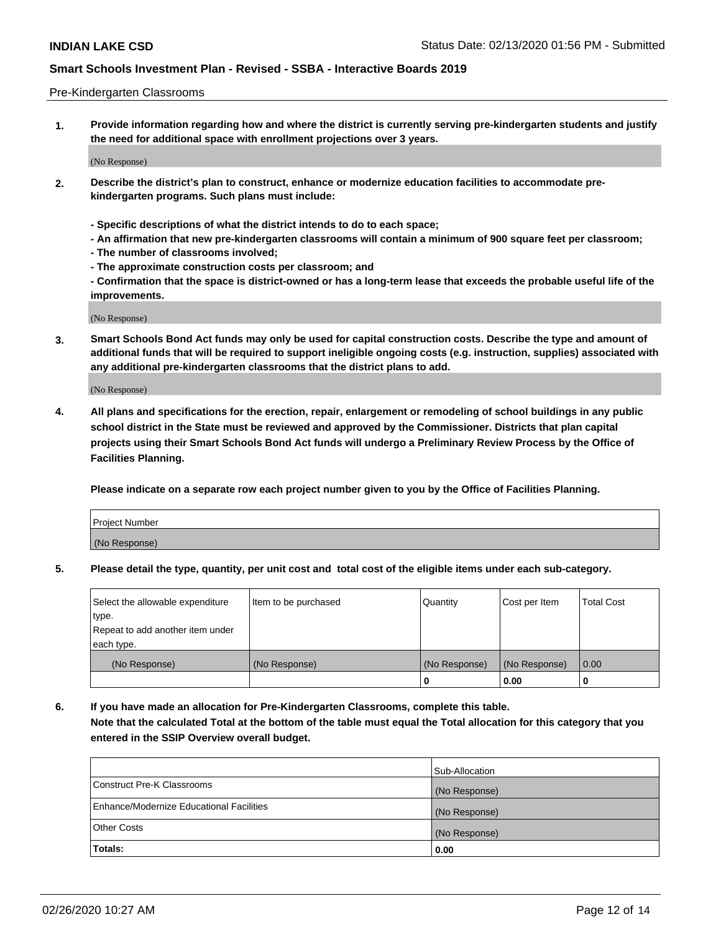### Pre-Kindergarten Classrooms

**1. Provide information regarding how and where the district is currently serving pre-kindergarten students and justify the need for additional space with enrollment projections over 3 years.**

(No Response)

- **2. Describe the district's plan to construct, enhance or modernize education facilities to accommodate prekindergarten programs. Such plans must include:**
	- **Specific descriptions of what the district intends to do to each space;**
	- **An affirmation that new pre-kindergarten classrooms will contain a minimum of 900 square feet per classroom;**
	- **The number of classrooms involved;**
	- **The approximate construction costs per classroom; and**
	- **Confirmation that the space is district-owned or has a long-term lease that exceeds the probable useful life of the improvements.**

(No Response)

**3. Smart Schools Bond Act funds may only be used for capital construction costs. Describe the type and amount of additional funds that will be required to support ineligible ongoing costs (e.g. instruction, supplies) associated with any additional pre-kindergarten classrooms that the district plans to add.**

(No Response)

**4. All plans and specifications for the erection, repair, enlargement or remodeling of school buildings in any public school district in the State must be reviewed and approved by the Commissioner. Districts that plan capital projects using their Smart Schools Bond Act funds will undergo a Preliminary Review Process by the Office of Facilities Planning.**

**Please indicate on a separate row each project number given to you by the Office of Facilities Planning.**

| Project Number |  |
|----------------|--|
| (No Response)  |  |
|                |  |

**5. Please detail the type, quantity, per unit cost and total cost of the eligible items under each sub-category.**

| Select the allowable expenditure | Item to be purchased | Quantity      | Cost per Item | <b>Total Cost</b> |
|----------------------------------|----------------------|---------------|---------------|-------------------|
| type.                            |                      |               |               |                   |
| Repeat to add another item under |                      |               |               |                   |
| each type.                       |                      |               |               |                   |
| (No Response)                    | (No Response)        | (No Response) | (No Response) | 0.00              |
|                                  |                      | υ             | 0.00          |                   |

**6. If you have made an allocation for Pre-Kindergarten Classrooms, complete this table. Note that the calculated Total at the bottom of the table must equal the Total allocation for this category that you entered in the SSIP Overview overall budget.**

|                                          | Sub-Allocation |
|------------------------------------------|----------------|
| Construct Pre-K Classrooms               | (No Response)  |
| Enhance/Modernize Educational Facilities | (No Response)  |
| <b>Other Costs</b>                       | (No Response)  |
| Totals:                                  | 0.00           |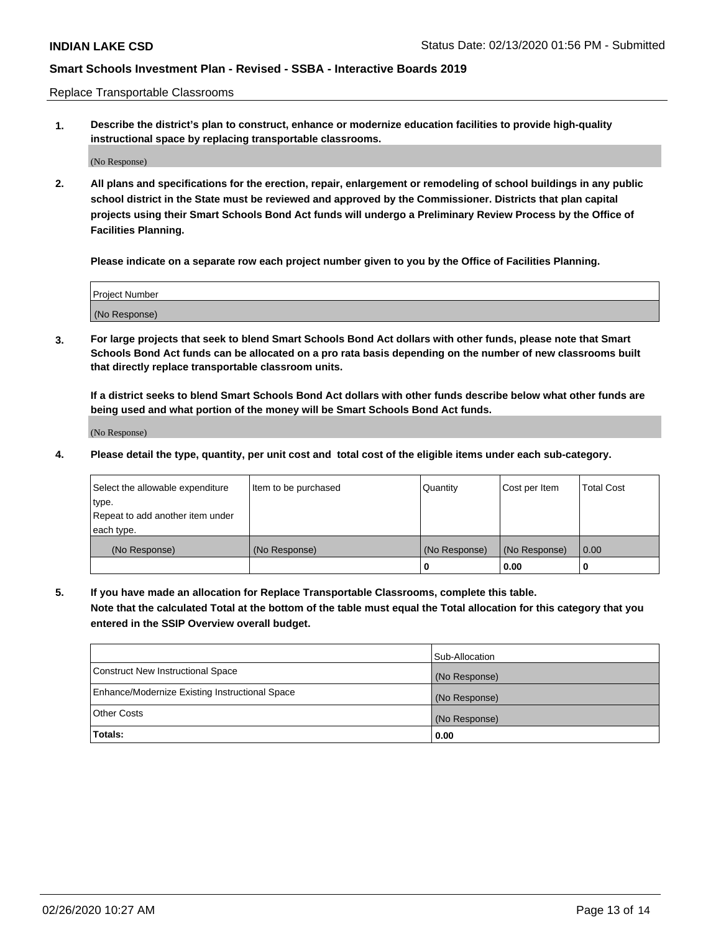Replace Transportable Classrooms

**1. Describe the district's plan to construct, enhance or modernize education facilities to provide high-quality instructional space by replacing transportable classrooms.**

(No Response)

**2. All plans and specifications for the erection, repair, enlargement or remodeling of school buildings in any public school district in the State must be reviewed and approved by the Commissioner. Districts that plan capital projects using their Smart Schools Bond Act funds will undergo a Preliminary Review Process by the Office of Facilities Planning.**

**Please indicate on a separate row each project number given to you by the Office of Facilities Planning.**

| Project Number |  |
|----------------|--|
|                |  |
|                |  |
|                |  |
| (No Response)  |  |
|                |  |
|                |  |

**3. For large projects that seek to blend Smart Schools Bond Act dollars with other funds, please note that Smart Schools Bond Act funds can be allocated on a pro rata basis depending on the number of new classrooms built that directly replace transportable classroom units.**

**If a district seeks to blend Smart Schools Bond Act dollars with other funds describe below what other funds are being used and what portion of the money will be Smart Schools Bond Act funds.**

(No Response)

**4. Please detail the type, quantity, per unit cost and total cost of the eligible items under each sub-category.**

| Select the allowable expenditure | Item to be purchased | Quantity      | Cost per Item | Total Cost |
|----------------------------------|----------------------|---------------|---------------|------------|
| ∣type.                           |                      |               |               |            |
| Repeat to add another item under |                      |               |               |            |
| each type.                       |                      |               |               |            |
| (No Response)                    | (No Response)        | (No Response) | (No Response) | 0.00       |
|                                  |                      | u             | 0.00          |            |

**5. If you have made an allocation for Replace Transportable Classrooms, complete this table. Note that the calculated Total at the bottom of the table must equal the Total allocation for this category that you entered in the SSIP Overview overall budget.**

|                                                | Sub-Allocation |
|------------------------------------------------|----------------|
| Construct New Instructional Space              | (No Response)  |
| Enhance/Modernize Existing Instructional Space | (No Response)  |
| <b>Other Costs</b>                             | (No Response)  |
| Totals:                                        | 0.00           |